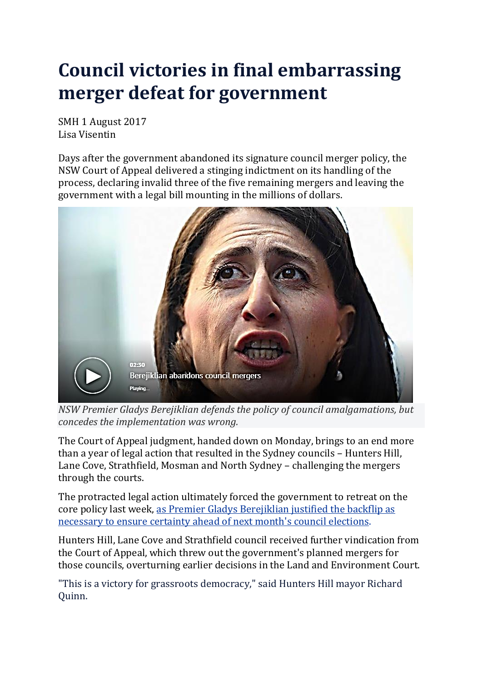## **Council victories in final embarrassing merger defeat for government**

SMH 1 August 2017 Lisa Visentin

Days after the government abandoned its signature council merger policy, the NSW Court of Appeal delivered a stinging indictment on its handling of the process, declaring invalid three of the five remaining mergers and leaving the government with a legal bill mounting in the millions of dollars.



*NSW Premier Gladys Berejiklian defends the policy of council amalgamations, but concedes the implementation was wrong.*

The Court of Appeal judgment, handed down on Monday, brings to an end more than a year of legal action that resulted in the Sydney councils – Hunters Hill, Lane Cove, Strathfield, Mosman and North Sydney – challenging the mergers through the courts.

The protracted legal action ultimately forced the government to retreat on the core policy last week, as Premier Gladys [Berejiklian](http://www.smh.com.au/nsw/nsw-government-to-abandon-legal-battle-over-council-amalgamations-20170727-gxjqtl.html) justified the backflip as [necessary](http://www.smh.com.au/nsw/nsw-government-to-abandon-legal-battle-over-council-amalgamations-20170727-gxjqtl.html) to ensure certainty ahead of next month's council elections.

Hunters Hill, Lane Cove and Strathfield council received further vindication from the Court of Appeal, which threw out the government's planned mergers for those councils, overturning earlier decisions in the Land and Environment Court.

"This is a victory for grassroots democracy," said Hunters Hill mayor Richard Quinn.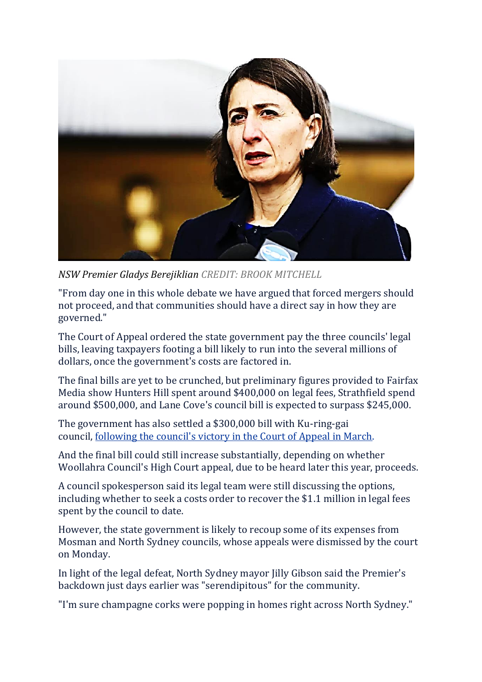

*NSW Premier Gladys Berejiklian CREDIT: BROOK MITCHELL*

"From day one in this whole debate we have argued that forced mergers should not proceed, and that communities should have a direct say in how they are governed."

The Court of Appeal ordered the state government pay the three councils' legal bills, leaving taxpayers footing a bill likely to run into the several millions of dollars, once the government's costs are factored in.

The final bills are yet to be crunched, but preliminary figures provided to Fairfax Media show Hunters Hill spent around \$400,000 on legal fees, Strathfield spend around \$500,000, and Lane Cove's council bill is expected to surpass \$245,000.

The government has also settled a \$300,000 bill with Ku-ring-gai council, [following](http://www.smh.com.au/nsw/blow-to-berejiklian-governments-council-mergers-as-court-rules-against-kpmg-report-secrecy-20170327-gv754p.html) the council's victory in the Court of Appeal in March.

And the final bill could still increase substantially, depending on whether Woollahra Council's High Court appeal, due to be heard later this year, proceeds.

A council spokesperson said its legal team were still discussing the options, including whether to seek a costs order to recover the \$1.1 million in legal fees spent by the council to date.

However, the state government is likely to recoup some of its expenses from Mosman and North Sydney councils, whose appeals were dismissed by the court on Monday.

In light of the legal defeat, North Sydney mayor Jilly Gibson said the Premier's backdown just days earlier was "serendipitous" for the community.

"I'm sure champagne corks were popping in homes right across North Sydney."